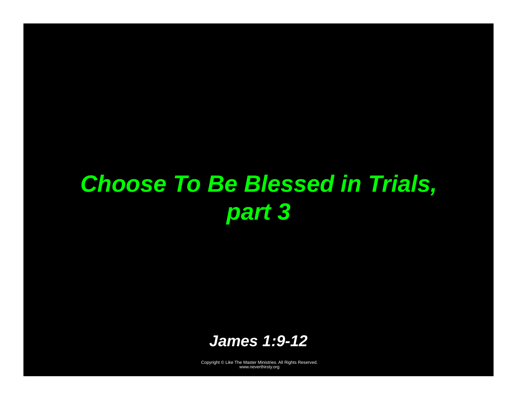# *Choose To Be Blessed in Trials, part 3*

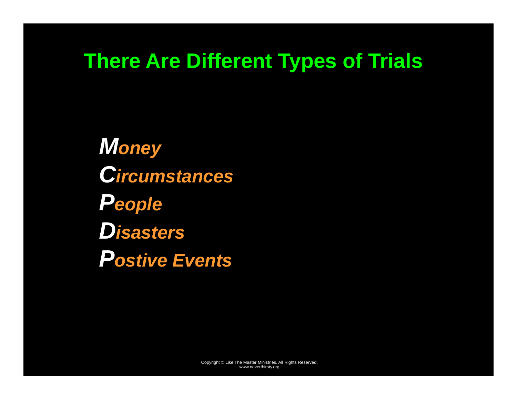### **There Are Different Types of Trials**

*Money Circumstances People Disasters Postive Events*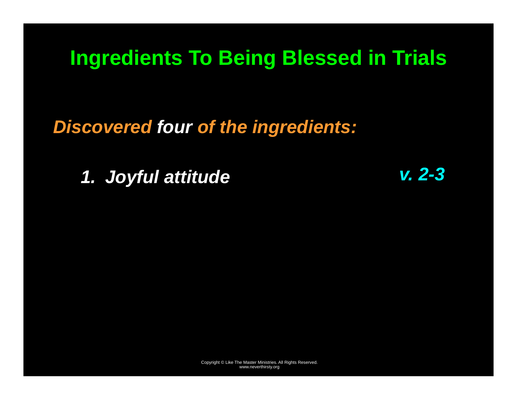*Discovered four of the ingredients:* 

*1. Joyful attitude v. 2-3*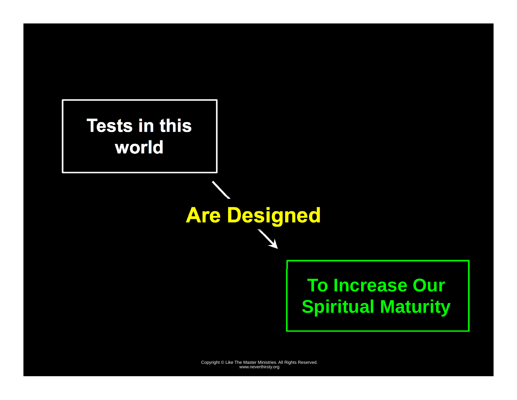**Tests in this world** 

> **To Increase Our Spiritual Maturity**

Copyright © Like The Master Ministries. All Rights Reserved. www.neverthirsty.org

**Are Designed**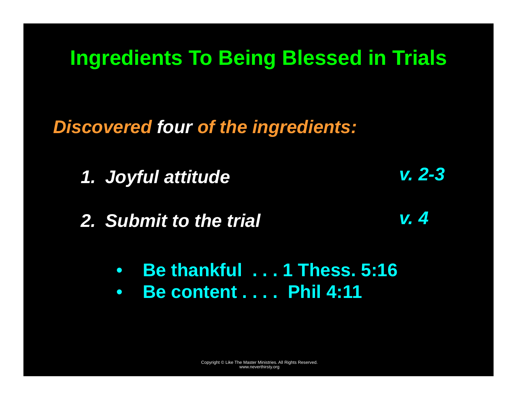*Discovered four of the ingredients:* 

- *1. Joyful attitude v. 2-3*
- *2. Submit to the trial v. 4* 
	- **Be thankful . . . 1 Thess. 5:16**
	- $\bullet$ **Be content . . . . Phil 4:11**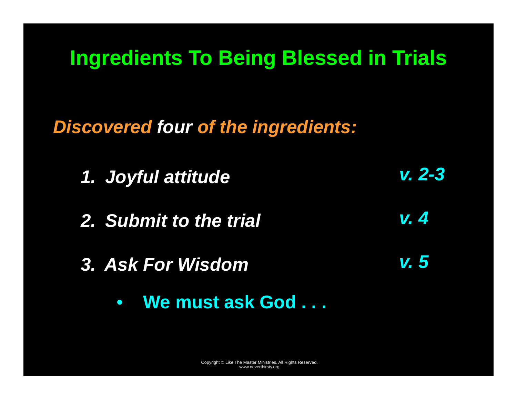*Discovered four of the ingredients:* 



- *3. Ask For Wisdom* 
	- $\bullet$ **We must ask God . . .**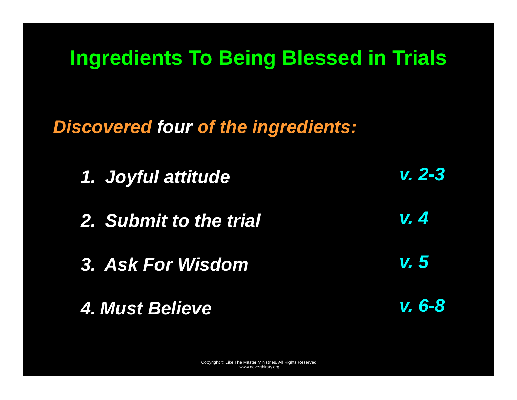*Discovered four of the ingredients:* 

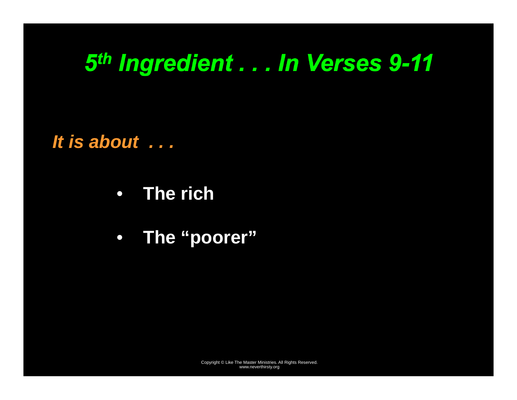### *5th Ingredient . . . In Verses 9-11*

*It is about . . .* 

- **The rich**
- **The "poorer"**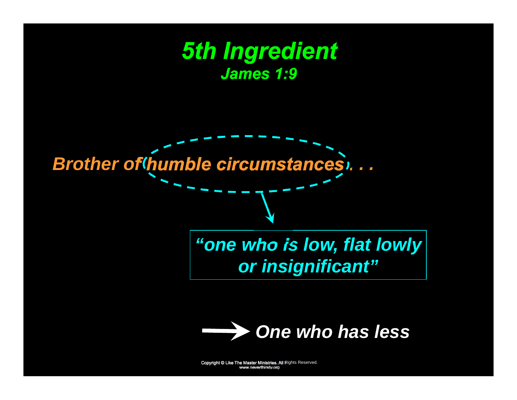### *5th Ingredient James 1:9*

*Brother of humble circumstances . . .* 

#### *"one who is low, flat lowly or insignificant"*

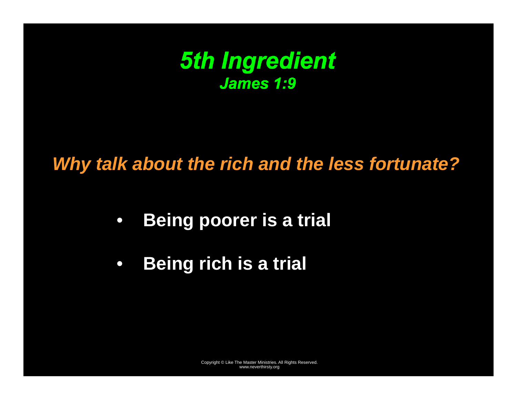

#### *Why talk about the rich and the less fortunate?*

- $\bullet$ **Being poorer is a trial**
- $\bullet$ **Being rich is a trial**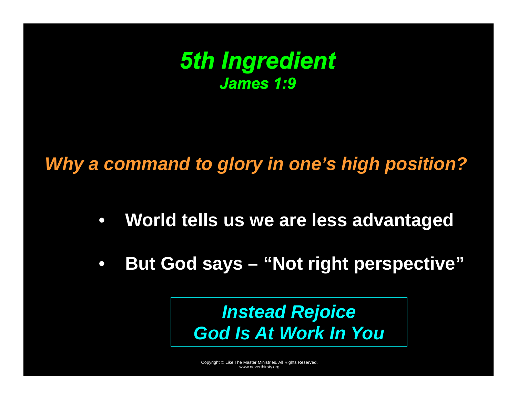

#### *Why a command to glory in one's high position?*

- $\bullet$ **World tells us we are less advantaged**
- $\bullet$ **But God says – "Not right perspective"**

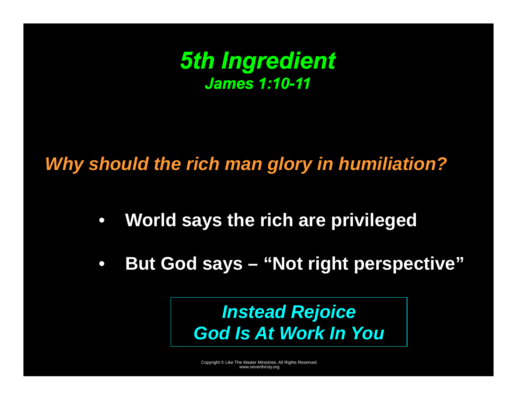

#### *Why should the rich man glory in humiliation?*

- $\bullet$ **World says the rich are privileged**
- $\bullet$ **But God says – "Not right perspective"**

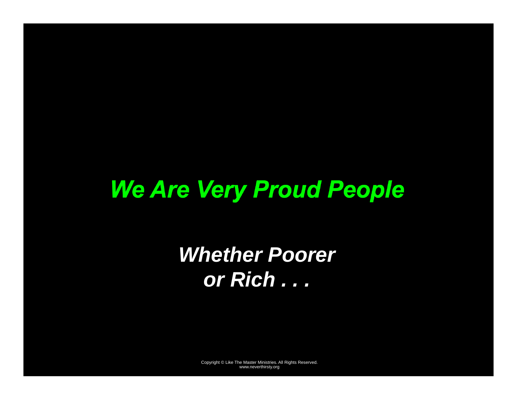# *We Are Very Proud People*

*Whether Poorer or Rich . . .*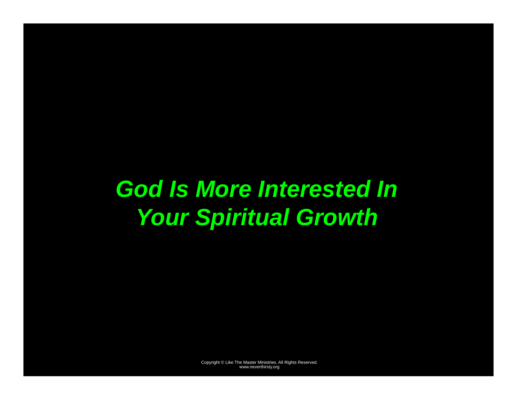# *God Is More Interested In Your Spiritual Growth*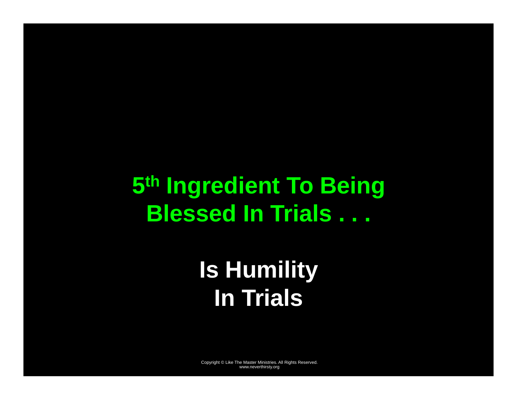## **5th Ingredient To Being Blessed In Trials . . .**

# **Is Humility In Trials**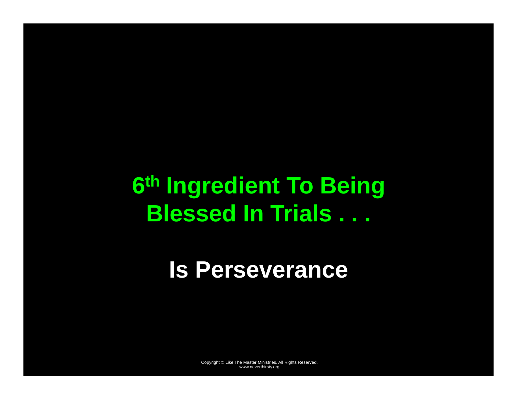# **6th Ingredient To Being Blessed In Trials . . .**

### **Is Perseverance**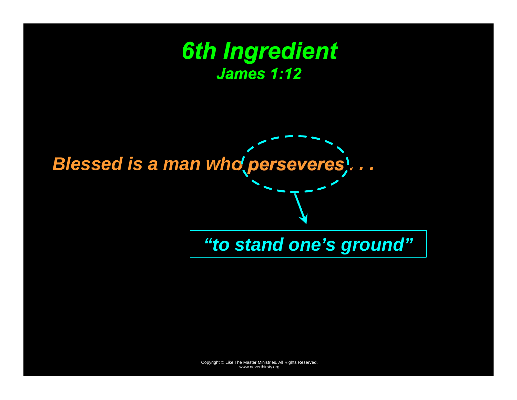



*"to stand one's ground"*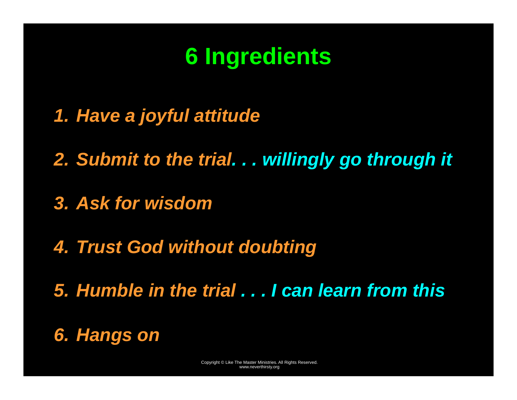## **6 Ingredients**

- *1. Have a joyful attitude*
- *2. Submit to the trial. . . willingly go through it*
- *3. Ask for wisdom*
- *4. Trust God without doubting*
- *5. Humble in the trial . . . I can learn from this*
- *6. Hangs on*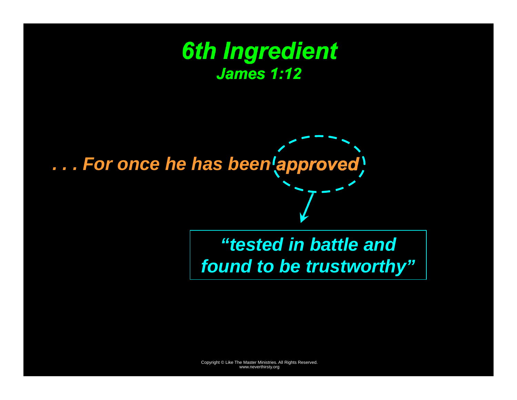### *6th Ingredient James 1:12*

# *. . . For once he has been approved*

*"tested in battle and found to be trustworthy"*